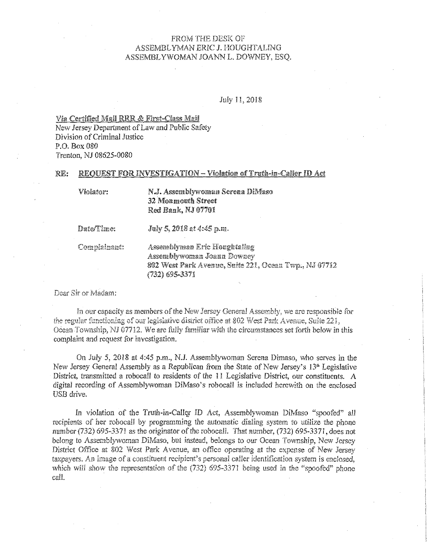# FROM THE DESK OF ASSEMBLYMAN ERIC J. HOUGHTALING ASSEMBLYWOMAN JOANN L. DOWNEY, ESO.

July 11, 2018

Via Certified Mail RRR & First-Class Mail

New Jersey Department of Law and Public Safety Division of Criminal Justice  $P.O.$  Rox 080 Trenton, NJ 08625-0080

#### REQUEST FOR INVESTIGATION - Violation of Truth-in-Caller ID Act RE:

Violator:

N.J. Assemblywoman Serena DiMaso 32 Monmouth Street Red Bank, NJ 07701

Date/Time:

July 5, 2018 at 4:45 p.m.

Complainant:

Assemblyman Eric Houghtaling Assemblywoman Joann Downey 802 West Park Avenue, Suite 221, Ocean Twp., NJ 07712 (732) 695-3371

Dear Sir or Madam:

In our capacity as members of the New Jersey General Assembly, we are responsible for the regular functioning of our legislative district office at 802 West Park Avenue, Suite 221, Ocean Township, NJ 07712. We are fully familiar with the circumstances set forth below in this complaint and request for investigation.

On July 5, 2018 at 4:45 p.m., N.J. Assemblywoman Serena Dimaso, who serves in the New Jersey General Assembly as a Republican from the State of New Jersey's 13<sup>th</sup> Legislative District, transmitted a robocall to residents of the 11 Legislative District, our constituents. A digital recording of Assemblywoman DiMaso's robocall is included herewith on the enclosed USB drive.

In violation of the Truth-in-Caller ID Act, Assemblywoman DiMaso "spoofed" all recipients of her robocall by programming the automatic dialing system to utilize the phone number (732) 695-3371 as the originator of the robocall. That number, (732) 695-3371, does not belong to Assemblywoman DiMaso, but instead, belongs to our Ocean Township, New Jersey District Office at 802 West Park Avenue, an office operating at the expense of New Jersey taxpayers. An image of a constituent recipient's personal caller identification system is enclosed. which will show the representation of the (732) 695-3371 being used in the "spoofed" phone call.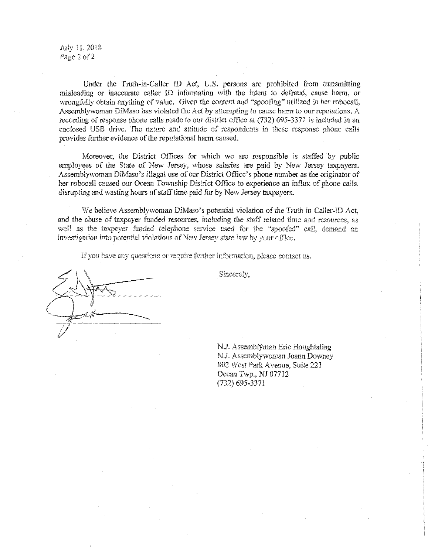July ll,2018 Page 2 of 2

Under the Truth-in-Caller ID Act, U.S. persons are prohibited from transmitting misleading or inaccurate caller ID infonnation with the intent to defraud, cause harm, or wrongfully obtain anything of value. Given the content and "spoofing" utilized in her robocall, Assemblywoman DiMaso has violated the Act by attempting to cause harm *to* our reputations. A recording of response phone calls made to our district office at (732) 695-337! is included in an enclosed USB drive. The nature and attitude of respondents in these response phone calls provides forther evidence of the reputational harm caused.

Moreover, the District Offices for which we are responsible is staffed by public employees of the State of New Jersey, whose salaries are paid by New Jersey taxpayers. Assemblywoman DiMaso's illegal use of our District Office's phone number as the originator of her robocall caused our Ocean Township District Office to experience an influx of phone calls, disrupting and wasting hours of staff time paid for by New Jersey taxpayers.

We believe Assemblywoman DiMaso's potential violation of the Truth in Caller-ID Act, and the abuse of taxpayer funded resources, including the staff related time and resources, as well as the taxpayer funded telephone service used for the "spoofed" call, demand an investigation into potential violations of New Jersey state law by your office.

If you have any questions or require further information, please contact us.

Sincerely,

N.J. Assemblyman Eric Houghtaling N.J. Assemblywoman Joann Downey 802 West Park A venue, Suite 22 l Ocean Twp., NJ 07712 (732) 695-3371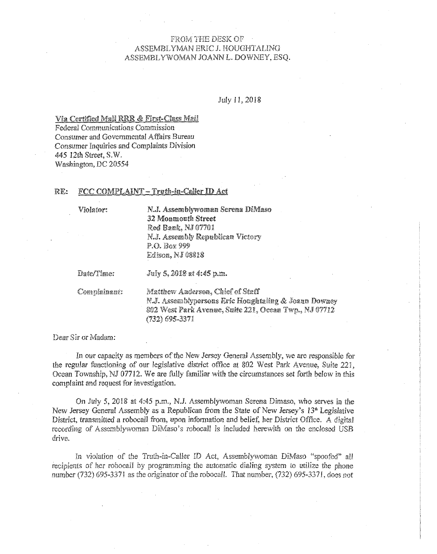# FROM: THE DESK OF ASSEMBLYMAN ERIC J. HOUGHTALING ASSEMBLYWOMAN JOANN L. DOWNEY, ESQ.

July JI, 2018

Via Certified Mail RRR & First-Class Mail

Federal Communications Commission Consumer and Govemmental Affairs Bureau Consumer Inquiries and Complaints Division 445 12th Street, S.W. Washington, DC 20554

## RE: FCC COMPLAINT - Truth-in-Caller ID Act

Viofator:

N.J. Assemblywoman Serena DiMaso 32 Monmouth Street Red Bank, NJ 07701 N.J. Assembly Republican Victory P.O. *Bax* 999 Edison, NJ 08818

Date/Time:

July 5, 2018 at 4:45 p.m.

Complainant:

Matthew Anderson, Chief of Staff N.J. Assemblypersons Eric Houghtaling & Joann Downey 802 West Park Avenue, Suite 221, Ocean Twp., NJ 07712 (732) 695-3371

Dear Sir or Madam:

In our capacity as members of the New Jersey General Assembly, we are responsible for the regular functioning of our legislative district office at 802 West Park Avenue, Suite 221, Ocean Township, NJ 07712. We are fully familiar with the circumstances set forth below in this complaint and request for investigation.

On July 5, 2018 at 4:45 p.m., N.J. Assemblywoman Serena Dimaso, who serves in the New Jersey General Assembly as a Republican from the State of New Jersey's  $13<sup>th</sup>$  Legislative District, transmitted a robocall from, upon infomiation and belief, her District Office. A digital recording of Assemblywoman DiMaso's robocall is included herewith on the enclosed USB drive.

In violation of the Truth-in-Caller ID Act, Assemblywoman DiMaso "spoofed" all recipients of her robocall by programming the automatic dialing system to utilize the phone number (732) 695-337! as the originator of the robocall. That number, (732) 695-3371, does not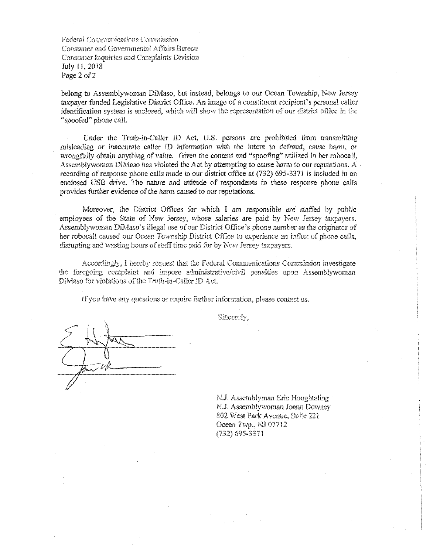Federal Communications Commission Consumer and Governmental Affairs Bureau Consumer Inquiries and Complaints Division July ll, 2018 Page 2 of 2

belong to Assemblywoman DiMaso, but instead, belongs to our Ocean Township, New Jersey taxpayer fonded Legislative District Office. An image of a constituent recipient's personal caller identification system is enclosed, which will show the representation of our district office in the "spoofed" phone call.

Under the Truth-in-Caller ID Act, U.S. persons are prohibited from transmitting misleading or inaccurate caller ID information with the intent to defraud, cause harm, or wrongfully obtain anything of value. Given the content and "spoofing" utilized in her robocall, Assemblywoman DiMaso has violated the Act by attempting to cause harm to our reputations. A recording of response phone calls made to our district office at (732) 695-3371 is included in an enclosed USB drive. The nature and attitude of respondents in these response phone calls provides farther evidence of the harm caused to our reputations.

Moreover, the District Offices for which I am responsible are staffed by public employees of the State of New Jersey, whose salaries are paid by New Jersey taxpayers. Assemblywoman DiMaso' s illegal *use* of our District Office's phone number as the originator of her robocall caused our Ocean Township District Office to experience an influx of phone calls, disrupting and wasting hours of staff time paid for by New Jersey taxpayers.

Accordingly, I hereby request that the Federal Comnmnications Commission investigate the foregoing complaint and impose administrative/civil penalties upon Assemblywoman DiMaso for violations of the Truth-in-Caller ID Act.

If you have any questions or require further information, please contact us.

Sincerely.

N.J. Assemblyman Eric Houghtaling NJ. Assemblywoman Joann Downey 802 West Paxk Avenue, Suite 221 Ocean Twp., NJ 077 !2 (732) 695-3371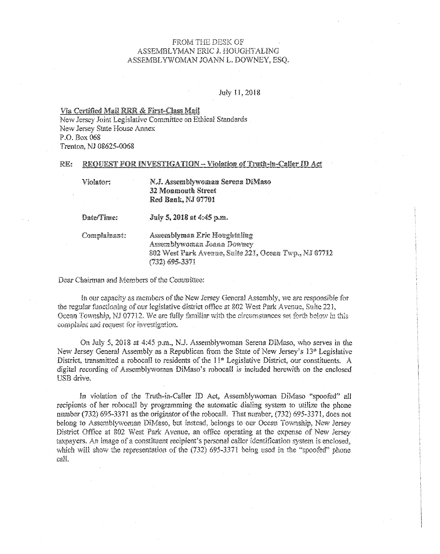# FROM THE DESK OF ASSEMBLYMAN ER1C J. HOUGHTALING ASSEMBLYWOMAN JOANN L. DOWNEY, ESQ.

### July ll, 2018

#### Via Certified Mail RRR & First-Class Mail

New Jersey Joint Legislative Committee on Ethical Standards New Jersey State House Annex P.O. Box 068 Trenton, NJ 08625-0068

#### R.E: REQUEST FOR INVESTIGATION - Violation of Truth-in-Caller ID Act

| Violator:    | N.J. Assemblywoman Serena DiMaso<br><b>32 Monmouth Street</b><br>Red Bank, NJ 07701                                                   |
|--------------|---------------------------------------------------------------------------------------------------------------------------------------|
| Date/Time:   | July 5, 2018 at 4:45 p.m.                                                                                                             |
| Complainant: | Assemblyman Eric Houghtaling<br>Assemblywoman Joann Downey<br>802 West Park Avenue, Suite 221, Ocean Twp., NJ 07712<br>(732) 695-3371 |

Dear Chairman and Members of the Committee:

In our capacity as members of the New Jersey General Assembly, we are responsible for the regular functioning of our legislative district office at 802 West Park A venue, Suite 22 l, Ocean Township, NJ  $\overline{07712}$ . We are fully familiar with the circumstances set forth below in this complaint and request for investigation.

On July 5, 2018 at 4:45 p.m., NJ. Assemblyvvoman Serena DiMaso, who serves in the New Jersey General Assembly as a Republican from the State of New Jersey's 13" Legislative District, transmitted a robocall to residents of the  $11<sup>th</sup>$  Legislative District, our constituents. A digital recording of Assemblywoman DiMaso's roboca!l is included herewith on the enclosed USB drive.

In violation of the Truth-in-Caller ID Act, Assemblywoman DiMaso "spoofed" all recipients of her robocall by programming the automatic dialing system to utilize the phone number (732) 695-3371 as the originator of the robocall. That number, (732) 695-3371, does not belong to Assemblywoman DiMaso, but instead, belongs to our Ocean Township, New Jersey District Office at 802 West Park Avenue, an office operating at the expense of New Jersey taxpayers. An image of a constituent recipient's personal caller identification system is enclosed, which will show the representation of the (732) 695-3371 being used in the "spoofed" phone call.